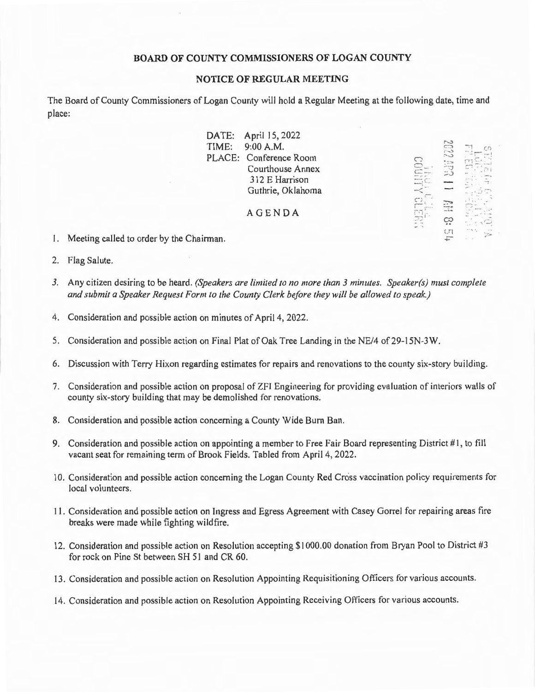# **BOARD OF COUNTY COMMISSIONERS OF LOGAN COUNTY**

#### **NOTICE OF REGULAR MEETING**

The Board of County Commissioners of Logan County will hold a Regular Meeting at the following date, time and place:

|         | DATE: April 15, 2022    |                 |                   |    |
|---------|-------------------------|-----------------|-------------------|----|
| TIME:   | 9:00 A.M.               |                 | $\subset \subset$ | СD |
|         | PLACE: Conference Room  |                 |                   |    |
|         | <b>Courthouse Annex</b> |                 |                   |    |
|         | 312 E Harrison          |                 |                   |    |
|         | Guthrie, Oklahoma       |                 |                   |    |
|         |                         |                 |                   |    |
|         | <b>AGENDA</b>           | <b>CAFALLIN</b> |                   |    |
|         |                         |                 |                   |    |
| airman. |                         |                 | C                 | 弥加 |

- I. Meeting called to order by the Chairman.
- 2. Flag Salute.
- *3.* Any citizen desiring to be heard. *(Speakers are limited to no more than 3 minutes. Speaker(s) must complete and submit a Speaker Request Form to the County Clerk before they will be allowed to speak.)*
- 4. Consideration and possible action on minutes of April 4, 2022.
- 5. Consideration and possible action on Final Plat of Oak Tree Landing in the NE/4 of 29-15N-3W.
- 6. Discussion with Terry Hixon regarding estimates for repairs and renovations to the county six-story building.
- 7. Consideration and possible action on proposal of ZFI Engineering for providing evaluation of interiors walls of county six-story building that may be demolished for renovations.
- 8. Consideration and possible action concerning a County Wide Burn Ban.
- 9. Consideration and possible action on appointing a member to Free Fair Board representing District #1, to fill vacant seat for remaining term of Brook Fields. Tabled from April 4, 2022.
- 10. Consideration and possible action concerning the Logan County Red Cross vaccination policy requirements for local volunteers.
- 11. Consideration and possible action on Ingress and Egress Agreement with Casey Gorrel for repairing areas fire breaks were made while fighting wildfire.
- 12. Consideration and possible action on Resolution accepting \$1000.00 donation from Bryan Pool to District #3 for rock on Pine St between SH 51 and CR 60.
- 13. Consideration and possible action on Resolution Appointing Requisitioning Officers for various accounts.
- 14. Consideration and possible action on Resolution Appointing Receiving Officers for various accounts.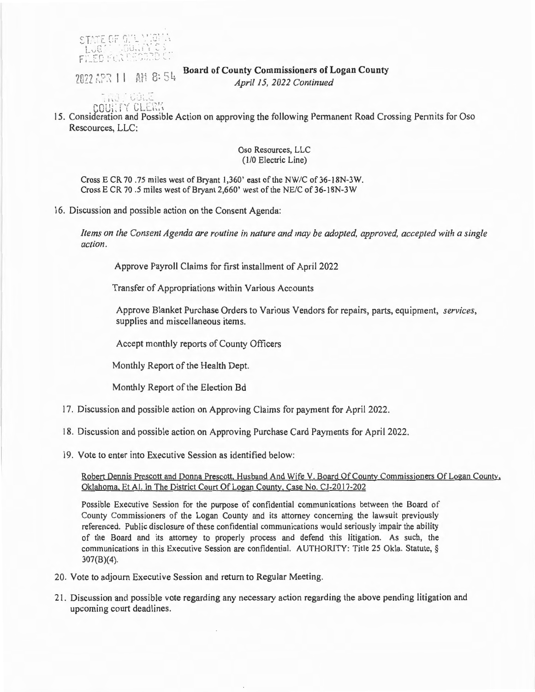$\mathop{\mathrm{Sim}}\nolimits\in\mathop{\mathrm{Gr}}\nolimits[0,1]$   $\mathop{\mathrm{Non}}\nolimits\mathop{\mathrm{Gr}}\nolimits$  $3.3...$   $1.1...$ 

2022 APR 11 AM 8:54

**Board of County Commissioners of Logan County** 

*April 15, 2022 Continued* 

 $\mathsf{col}\$ 

15. Consideration and Possible Action on approving the following Permanent Road Crossing Permits for Oso Rescources, LLC:

### Oso Resources, LLC (1/0 Electric Line)

Cross E CR 70 .75 miles west of Bryant 1,360' east of the NW/C of 36-l 8N-3W. Cross E CR 70.5 miles west of Bryant 2,660' west of the NE/C of 36-18N-3W

16. Discussion and possible action on the Consent Agenda:

*Items on the Consent Agenda are routine in nature and may be adopted, approved, accepted with a single action.* 

Approve Payroll Claims for first installment of April 2022

Transfer of Appropriations within Various Accounts

Approve Blanket Purchase Orders to Various Vendors for repairs, parts, equipment, *services*, supplies and miscellaneous items.

Accept monthly reports of County Officers

Monthly Report of the Health Dept.

Monthly Report of the Election Bd

- 17. Discussion and possible action on Approving Claims for payment for April 2022.
- 18. Discussion and possible action on Approving Purchase Card Payments for April 2022.
- 19. Vote to enter into Executive Session as identified below:

# Robert Dennis Prescott and Donna Prescott. Husband And Wife V. Board Of County Commissioners Of Logan County. Oklahoma. Et Al. In The District Court Of Logan County. Case No. CJ-2017-202

Possible Executive Session for the purpose of confidential communications between the Board of County Commissioners of the Logan County and its attorney concerning the lawsuit previously referenced. Public disclosure of these confidential communications would seriously impair the ability of the Board and its attorney to properly process and defend this litigation. As such, the communications in this Executive Session are confidential. AUTHORITY: Title 25 Okla. Statute, § 307(8)(4).

- 20. Vote to adjourn Executive Session and return to Regular Meeting.
- 21. Discussion and possible vote regarding any necessary action regarding the above pending litigation and upcoming court deadlines.